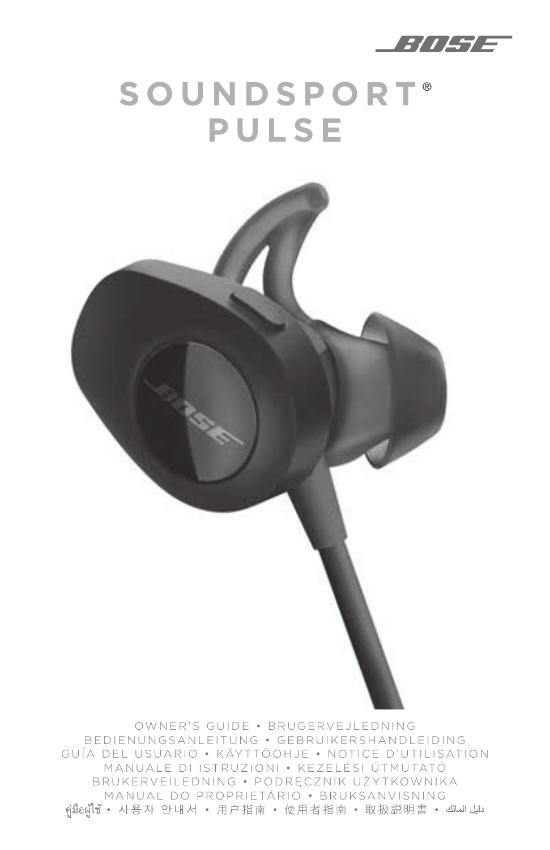

# **SOUNDSPORT** ® **PULSE**

OWNER'S GUIDE • BRUGERVEJLEDNING BEDIENUNGSANLEITUNG • GEBRUIKERSHANDLEIDING GUÍA DEL USUARIO • KÄYTTÖOHJE • NOTICE D'UTILISATION MANUALE DI ISTRUZIONI • KEZELÉSI ÚTMUTATÓ BRUKERVEILEDNING • PODRĘCZNIK UŻYTKOWNIKA MANUAL DO PROPRIETÁRIO • BRUKSANVISNING<br>دلیل المالك • واَبارېا وَالله والوَّابو وَالله والوَّابو وَالله والوَّابو وَالله والوَّابو وَالله وَالله وَالل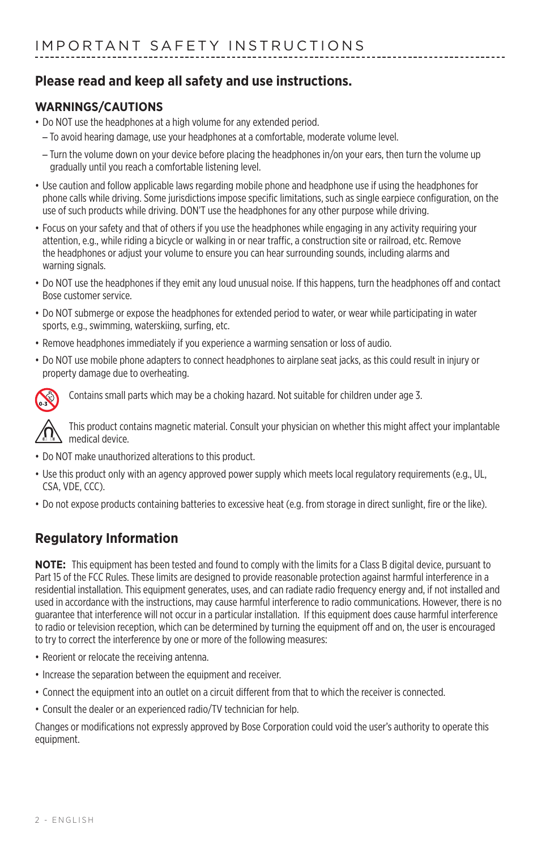#### **Please read and keep all safety and use instructions.**

#### **WARNINGS/CAUTIONS**

- Do NOT use the headphones at a high volume for any extended period.
- To avoid hearing damage, use your headphones at a comfortable, moderate volume level.
- Turn the volume down on your device before placing the headphones in/on your ears, then turn the volume up gradually until you reach a comfortable listening level.
- Use caution and follow applicable laws regarding mobile phone and headphone use if using the headphones for phone calls while driving. Some jurisdictions impose specific limitations, such as single earpiece configuration, on the use of such products while driving. DON'T use the headphones for any other purpose while driving.
- Focus on your safety and that of others if you use the headphones while engaging in any activity requiring your attention, e.g., while riding a bicycle or walking in or near traffic, a construction site or railroad, etc. Remove the headphones or adjust your volume to ensure you can hear surrounding sounds, including alarms and warning signals.
- Do NOT use the headphones if they emit any loud unusual noise. If this happens, turn the headphones off and contact Bose customer service.
- Do NOT submerge or expose the headphones for extended period to water, or wear while participating in water sports, e.g., swimming, waterskiing, surfing, etc.
- Remove headphones immediately if you experience a warming sensation or loss of audio.
- Do NOT use mobile phone adapters to connect headphones to airplane seat jacks, as this could result in injury or property damage due to overheating.



Contains small parts which may be a choking hazard. Not suitable for children under age 3.



This product contains magnetic material. Consult your physician on whether this might affect your implantable medical device.

- Do NOT make unauthorized alterations to this product.
- Use this product only with an agency approved power supply which meets local regulatory requirements (e.g., UL, CSA, VDE, CCC).
- Do not expose products containing batteries to excessive heat (e.g. from storage in direct sunlight, fire or the like).

#### **Regulatory Information**

**NOTE:** This equipment has been tested and found to comply with the limits for a Class B digital device, pursuant to Part 15 of the FCC Rules. These limits are designed to provide reasonable protection against harmful interference in a residential installation. This equipment generates, uses, and can radiate radio frequency energy and, if not installed and used in accordance with the instructions, may cause harmful interference to radio communications. However, there is no guarantee that interference will not occur in a particular installation. If this equipment does cause harmful interference to radio or television reception, which can be determined by turning the equipment off and on, the user is encouraged to try to correct the interference by one or more of the following measures:

- Reorient or relocate the receiving antenna.
- Increase the separation between the equipment and receiver.
- Connect the equipment into an outlet on a circuit different from that to which the receiver is connected.
- Consult the dealer or an experienced radio/TV technician for help.

Changes or modifications not expressly approved by Bose Corporation could void the user's authority to operate this equipment.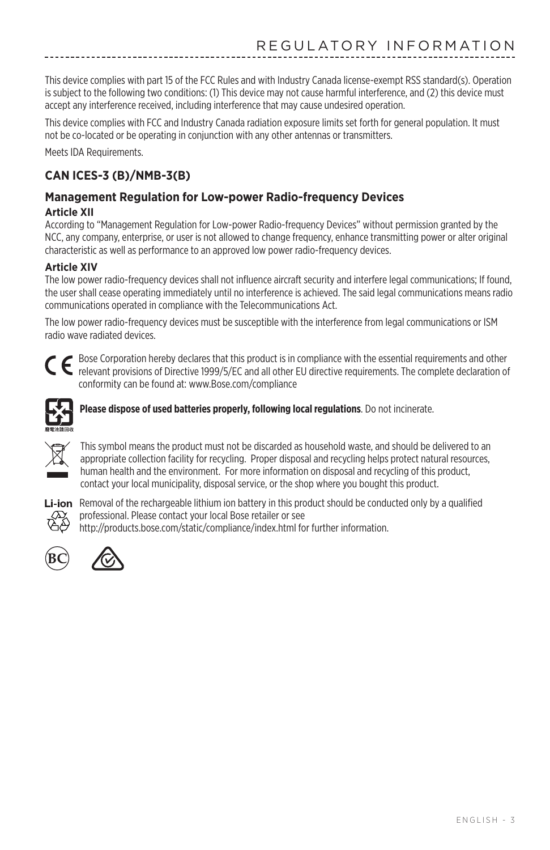This device complies with part 15 of the FCC Rules and with Industry Canada license-exempt RSS standard(s). Operation is subject to the following two conditions: (1) This device may not cause harmful interference, and (2) this device must accept any interference received, including interference that may cause undesired operation.

This device complies with FCC and Industry Canada radiation exposure limits set forth for general population. It must not be co-located or be operating in conjunction with any other antennas or transmitters.

Meets IDA Requirements.

#### **CAN ICES-3 (B)/NMB-3(B)**

#### **Management Regulation for Low-power Radio-frequency Devices**

#### **Article XII**

According to "Management Regulation for Low-power Radio-frequency Devices" without permission granted by the NCC, any company, enterprise, or user is not allowed to change frequency, enhance transmitting power or alter original characteristic as well as performance to an approved low power radio-frequency devices.

#### **Article XIV**

The low power radio-frequency devices shall not influence aircraft security and interfere legal communications; If found, the user shall cease operating immediately until no interference is achieved. The said legal communications means radio communications operated in compliance with the Telecommunications Act.

The low power radio-frequency devices must be susceptible with the interference from legal communications or ISM radio wave radiated devices.



Bose Corporation hereby declares that this product is in compliance with the essential requirements and other<br>relevant provisions of Directive 1999/5/5/2014 and all other 500 in relevant provisions of Directive 1999/5/EC and all other EU directive requirements. The complete declaration of conformity can be found at: www.Bose.com/compliance



**Please dispose of used batteries properly, following local regulations**. Do not incinerate.



This symbol means the product must not be discarded as household waste, and should be delivered to an appropriate collection facility for recycling. Proper disposal and recycling helps protect natural resources, human health and the environment. For more information on disposal and recycling of this product, contact your local municipality, disposal service, or the shop where you bought this product.



Li-ion Removal of the rechargeable lithium ion battery in this product should be conducted only by a qualified professional. Please contact your local Bose retailer or see http://products.bose.com/static/compliance/index.html for further information.



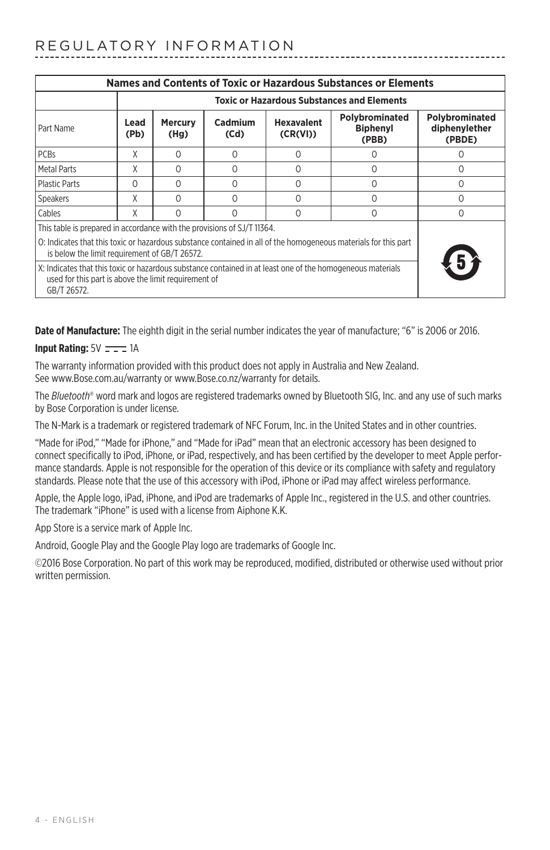| Names and Contents of Toxic or Hazardous Substances or Elements                                                                                                                   |                                                   |                        |                 |                               |                                            |                                           |
|-----------------------------------------------------------------------------------------------------------------------------------------------------------------------------------|---------------------------------------------------|------------------------|-----------------|-------------------------------|--------------------------------------------|-------------------------------------------|
|                                                                                                                                                                                   | <b>Toxic or Hazardous Substances and Elements</b> |                        |                 |                               |                                            |                                           |
| Part Name                                                                                                                                                                         | Lead<br>(Pb)                                      | <b>Mercury</b><br>(Hg) | Cadmium<br>(Cd) | <b>Hexavalent</b><br>(CR(VI)) | Polybrominated<br><b>Biphenyl</b><br>(PBB) | Polybrominated<br>diphenylether<br>(PBDE) |
| <b>PCBs</b>                                                                                                                                                                       | χ                                                 | $\Omega$               | $\cap$          | Ω                             |                                            |                                           |
| Metal Parts                                                                                                                                                                       | χ                                                 | $\Omega$               | $\cap$          | Ω                             | Ω                                          | 0                                         |
| <b>Plastic Parts</b>                                                                                                                                                              | $\Omega$                                          | $\Omega$               | $\Omega$        | $\Omega$                      | 0                                          | $\Omega$                                  |
| Speakers                                                                                                                                                                          | χ                                                 | $\Omega$               | $\cap$          | O                             | O                                          | 0                                         |
| Cables                                                                                                                                                                            | X                                                 | $\Omega$               | $\cap$          | O                             | $\Omega$                                   | 0                                         |
| This table is prepared in accordance with the provisions of SJ/T 11364.                                                                                                           |                                                   |                        |                 |                               |                                            |                                           |
| O: Indicates that this toxic or hazardous substance contained in all of the homogeneous materials for this part<br>is below the limit requirement of GB/T 26572.                  |                                                   |                        |                 |                               |                                            |                                           |
| X: Indicates that this toxic or hazardous substance contained in at least one of the homogeneous materials<br>used for this part is above the limit requirement of<br>GB/T 26572. |                                                   |                        |                 |                               |                                            |                                           |

**Date of Manufacture:** The eighth digit in the serial number indicates the year of manufacture; "6" is 2006 or 2016.

#### **Input Rating:**  $5V = -1$ A

The warranty information provided with this product does not apply in Australia and New Zealand. See www.Bose.com.au/warranty or www.Bose.co.nz/warranty for details.

The *Bluetooth*® word mark and logos are registered trademarks owned by Bluetooth SIG, Inc. and any use of such marks by Bose Corporation is under license.

The N-Mark is a trademark or registered trademark of NFC Forum, Inc. in the United States and in other countries.

"Made for iPod," "Made for iPhone," and "Made for iPad" mean that an electronic accessory has been designed to connect specifically to iPod, iPhone, or iPad, respectively, and has been certified by the developer to meet Apple performance standards. Apple is not responsible for the operation of this device or its compliance with safety and regulatory standards. Please note that the use of this accessory with iPod, iPhone or iPad may affect wireless performance.

Apple, the Apple logo, iPad, iPhone, and iPod are trademarks of Apple Inc., registered in the U.S. and other countries. The trademark "iPhone" is used with a license from Aiphone K.K.

App Store is a service mark of Apple Inc.

Android, Google Play and the Google Play logo are trademarks of Google Inc.

©2016 Bose Corporation. No part of this work may be reproduced, modified, distributed or otherwise used without prior written permission.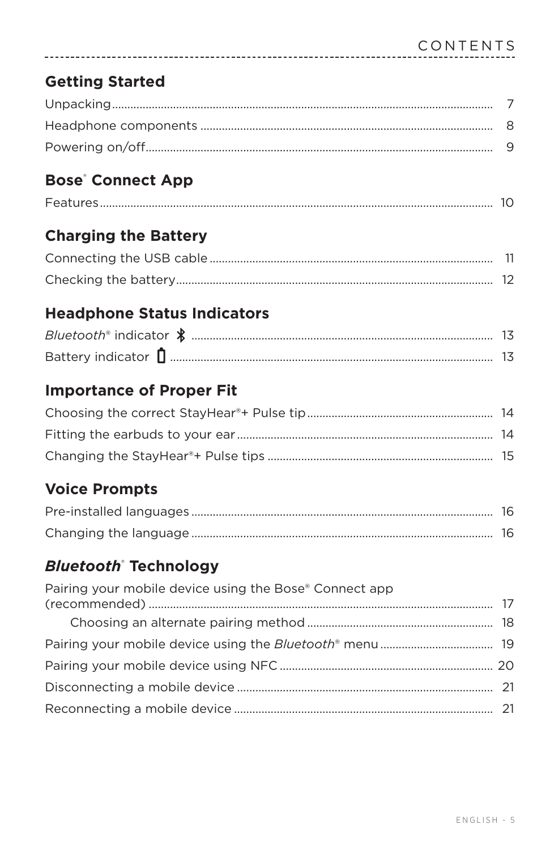### **Getting Started**

### **Bose**<sup>*c*</sup> Connect App

| $\overline{\phantom{a}}$ |  |
|--------------------------|--|
|--------------------------|--|

### **Charging the Battery**

### **Headphone Status Indicators**

### **Importance of Proper Fit**

### **Voice Prompts**

### **Bluetooth** Technology

| Pairing your mobile device using the Bose® Connect app |  |
|--------------------------------------------------------|--|
|                                                        |  |
|                                                        |  |
|                                                        |  |
|                                                        |  |
|                                                        |  |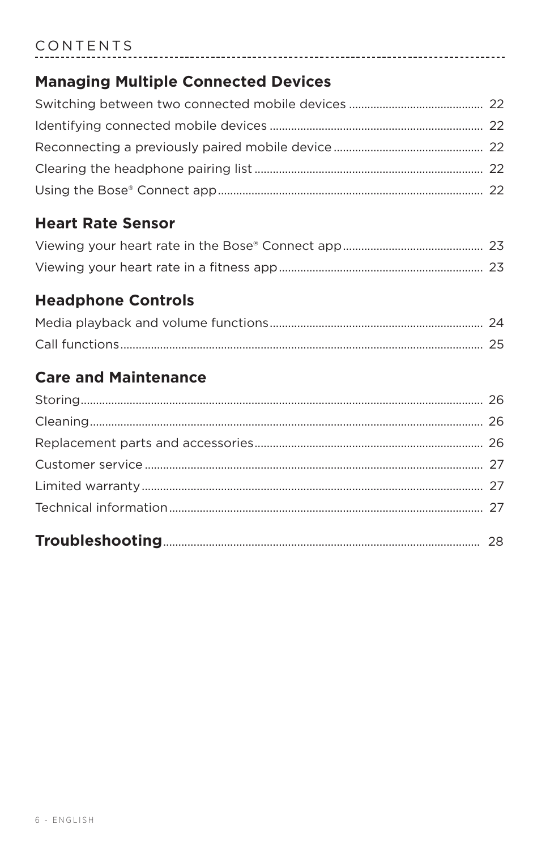#### CONTENTS

#### **Managing Multiple Connected Devices**

----------------------

#### **Heart Rate Sensor**

#### **Headphone Controls**

### **Care and Maintenance**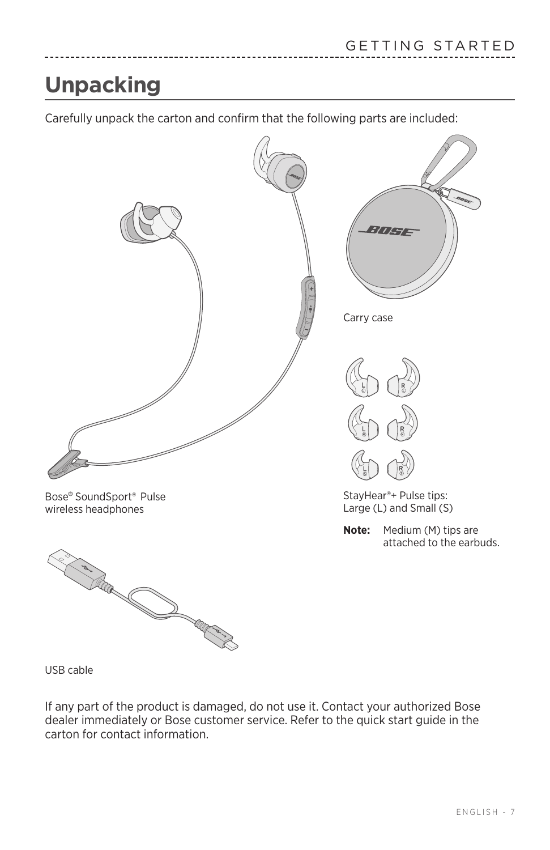## <span id="page-6-0"></span>**Unpacking**

Carefully unpack the carton and confirm that the following parts are included:



USB cable

If any part of the product is damaged, do not use it. Contact your authorized Bose dealer immediately or Bose customer service. Refer to the quick start guide in the carton for contact information.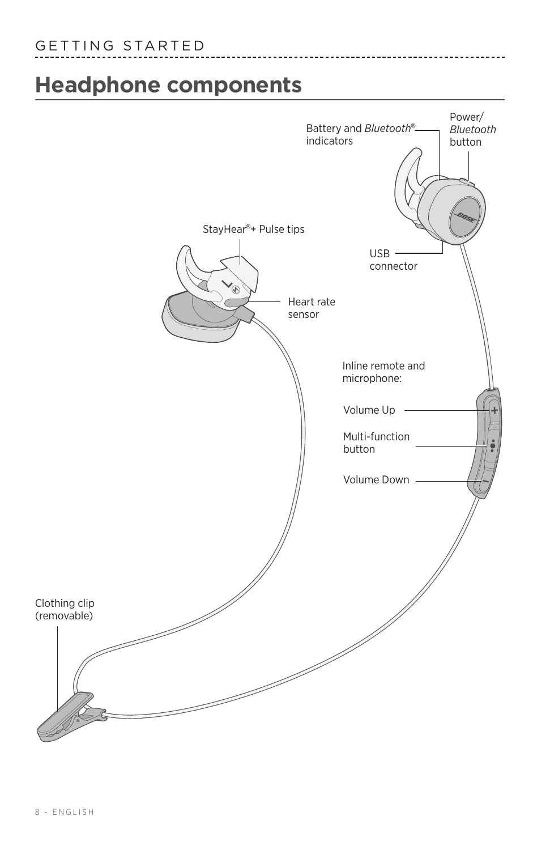## <span id="page-7-0"></span>**Headphone components**



-------------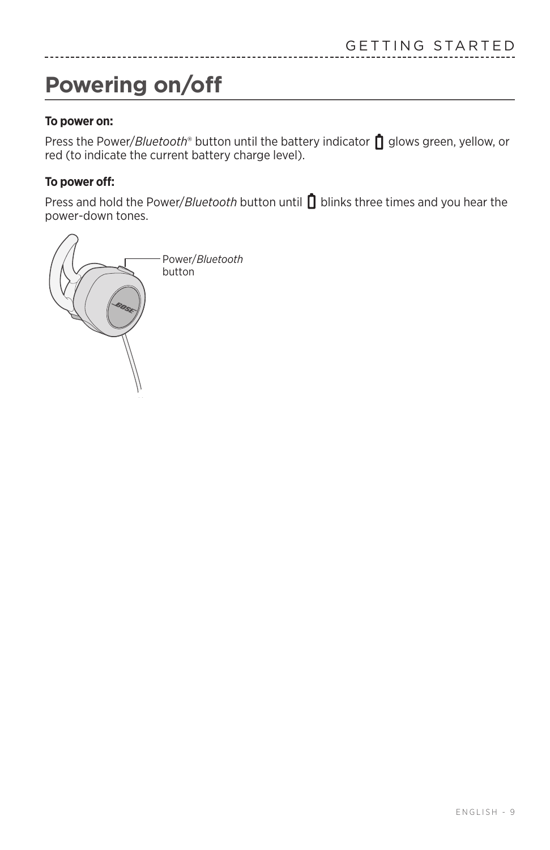## <span id="page-8-1"></span><span id="page-8-0"></span>**Powering on/off**

#### **To power on:**

Press the Power/*Bluetooth*<sup>®</sup> button until the battery indicator no glows green, yellow, or red (to indicate the current battery charge level).

#### **To power off:**

Press and hold the Power/*Bluetooth* button until **D** blinks three times and you hear the power-down tones.

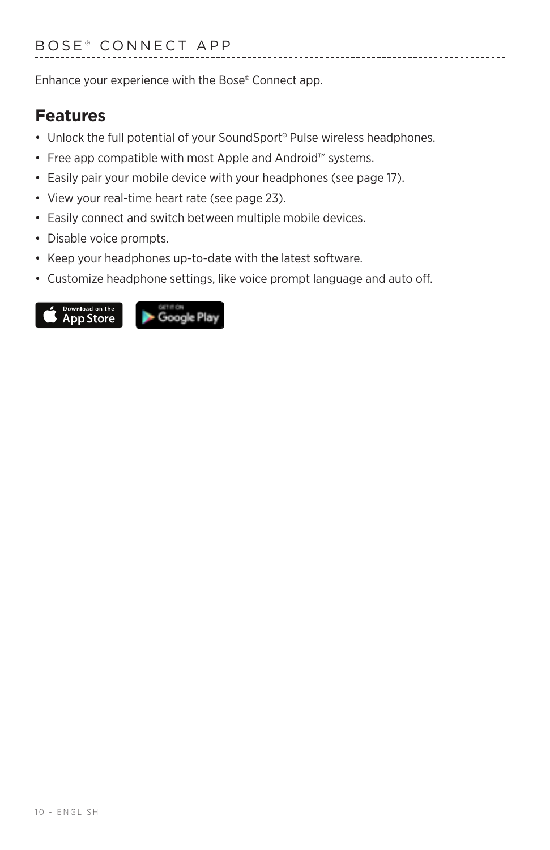<span id="page-9-1"></span><span id="page-9-0"></span>Enhance your experience with the Bose® Connect app.

#### **Features**

- Unlock the full potential of your SoundSport® Pulse wireless headphones.
- Free app compatible with most Apple and Android™ systems.
- Easily pair your mobile device with your headphones (see [page 17](#page-16-1)).
- View your real-time heart rate (see [page 23\)](#page-22-1).
- Easily connect and switch between multiple mobile devices.
- Disable voice prompts.
- Keep your headphones up-to-date with the latest software.
- Customize headphone settings, like voice prompt language and auto off.

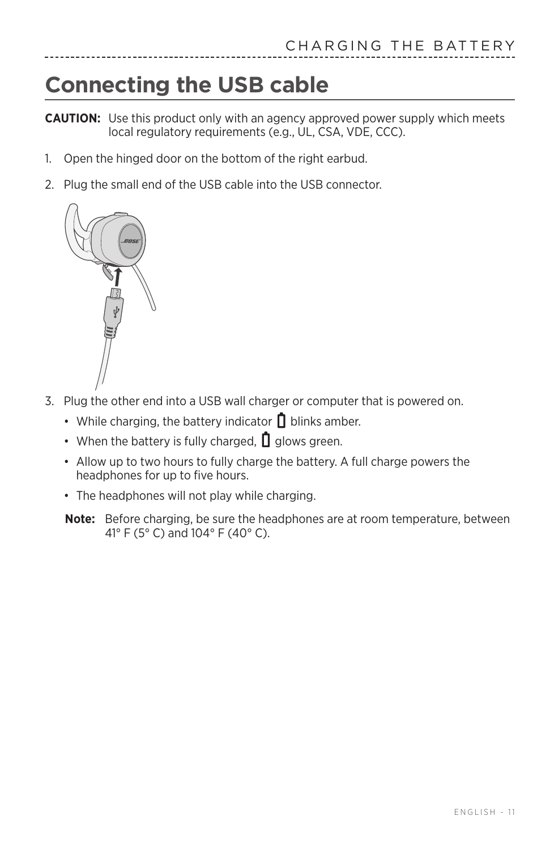## <span id="page-10-0"></span>**Connecting the USB cable**

**CAUTION:** Use this product only with an agency approved power supply which meets local regulatory requirements (e.g., UL, CSA, VDE, CCC).

- 1. Open the hinged door on the bottom of the right earbud.
- 2. Plug the small end of the USB cable into the USB connector.



- 3. Plug the other end into a USB wall charger or computer that is powered on.
	- While charging, the battery indicator  $\Box$  blinks amber.
	- When the battery is fully charged,  $\mathbf{0}$  glows green.
	- Allow up to two hours to fully charge the battery. A full charge powers the headphones for up to five hours.
	- The headphones will not play while charging.
	- **Note:** Before charging, be sure the headphones are at room temperature, between 41° F (5° C) and 104° F (40° C).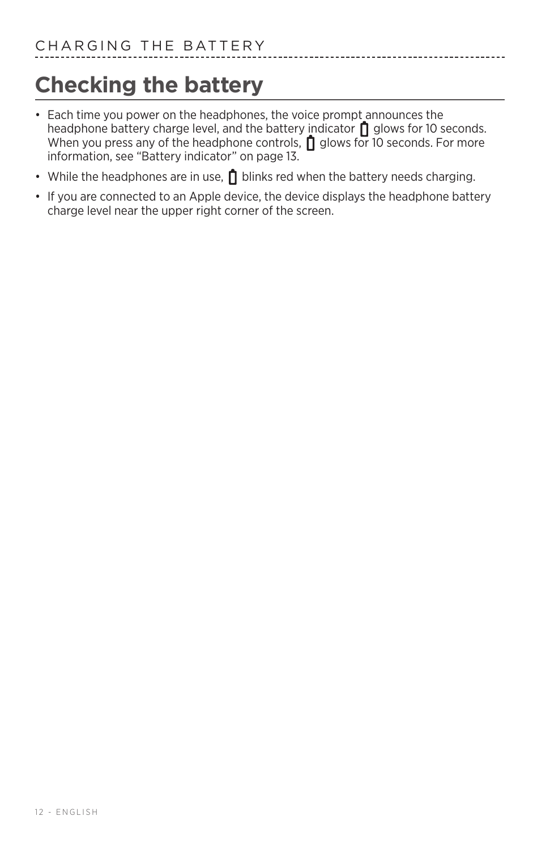## <span id="page-11-0"></span>**Checking the battery**

• Each time you power on the headphones, the voice prompt announces the headphone battery charge level, and the battery indicator  $\prod$  glows for 10 seconds. When you press any of the headphone controls,  $\prod$  glows for 10 seconds. For more information, see ["Battery indicator" on page 13.](#page-12-1)

------------

- While the headphones are in use,  $\prod$  blinks red when the battery needs charging.
- If you are connected to an Apple device, the device displays the headphone battery charge level near the upper right corner of the screen.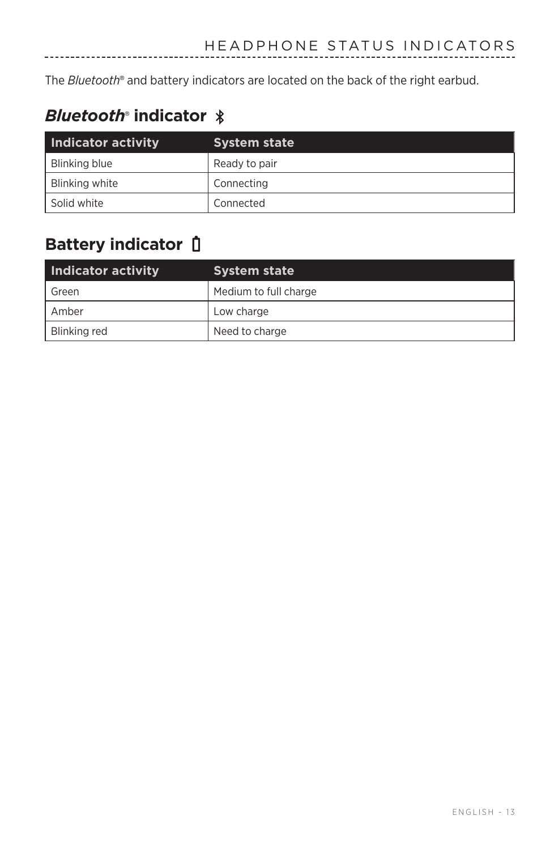<span id="page-12-0"></span>The *Bluetooth*® and battery indicators are located on the back of the right earbud.

### *Bluetooth*®  **indicator**

-----------

| Indicator activity | <b>System state</b> |
|--------------------|---------------------|
| Blinking blue      | Ready to pair       |
| Blinking white     | Connecting          |
| Solid white        | Connected           |

### <span id="page-12-1"></span>**Battery indicator**

| Indicator activity | <b>System state</b>   |
|--------------------|-----------------------|
| Green              | Medium to full charge |
| Amber              | Low charge            |
| Blinking red       | Need to charge        |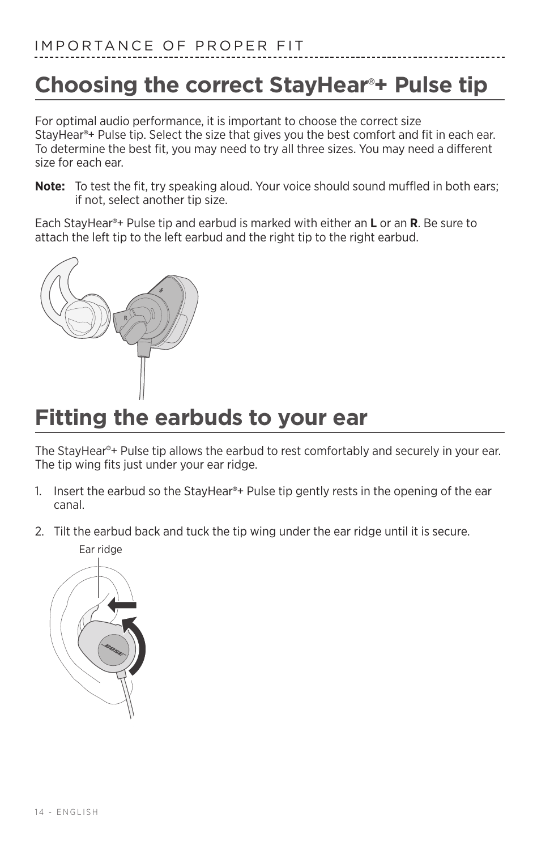## <span id="page-13-0"></span>**Choosing the correct StayHear**® **+ Pulse tip**

For optimal audio performance, it is important to choose the correct size StayHear® + Pulse tip. Select the size that gives you the best comfort and fit in each ear. To determine the best fit, you may need to try all three sizes. You may need a different size for each ear.

**Note:** To test the fit, try speaking aloud. Your voice should sound muffled in both ears; if not, select another tip size.

Each StayHear® + Pulse tip and earbud is marked with either an **L** or an **R**. Be sure to attach the left tip to the left earbud and the right tip to the right earbud.



## **Fitting the earbuds to your ear**

The StayHear® + Pulse tip allows the earbud to rest comfortably and securely in your ear. The tip wing fits just under your ear ridge.

- 1. Insert the earbud so the StayHear®+ Pulse tip gently rests in the opening of the ear canal.
- 2. Tilt the earbud back and tuck the tip wing under the ear ridge until it is secure.

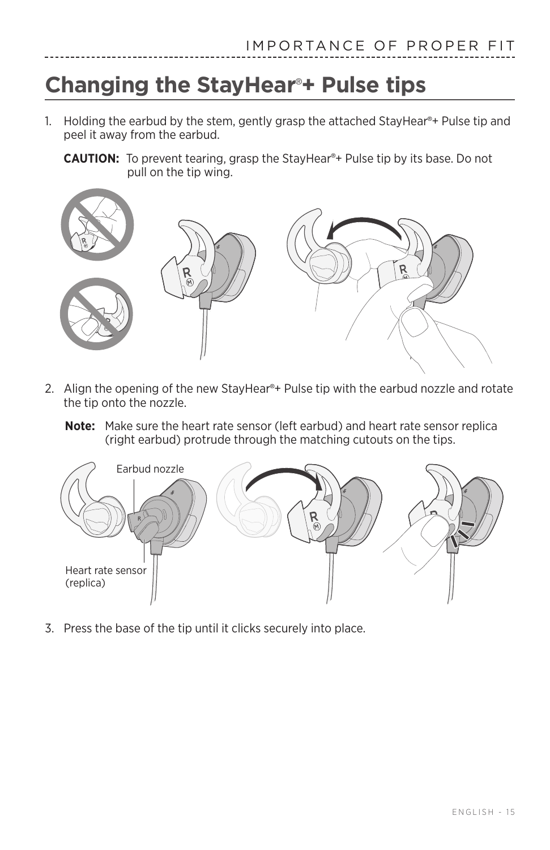## <span id="page-14-1"></span><span id="page-14-0"></span>**Changing the StayHear**® **+ Pulse tips**

- 1. Holding the earbud by the stem, gently grasp the attached StayHear®+ Pulse tip and peel it away from the earbud.
	- CAUTION: To prevent tearing, grasp the StayHear®+ Pulse tip by its base. Do not pull on the tip wing.



- 2. Align the opening of the new StayHear®+ Pulse tip with the earbud nozzle and rotate the tip onto the nozzle.
	- **Note:** Make sure the heart rate sensor (left earbud) and heart rate sensor replica (right earbud) protrude through the matching cutouts on the tips.



3. Press the base of the tip until it clicks securely into place.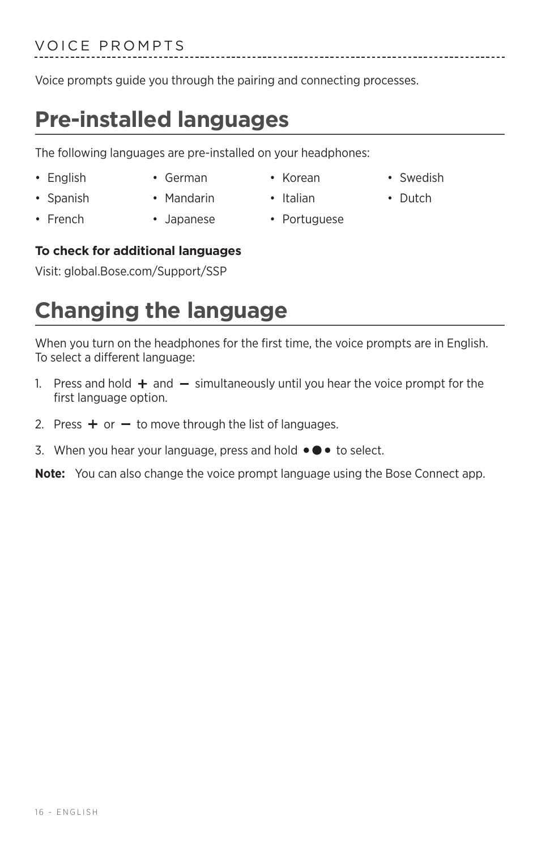### <span id="page-15-0"></span>VOICE PROMPTS

Voice prompts guide you through the pairing and connecting processes.

## **Pre-installed languages**

The following languages are pre-installed on your headphones:

- 
- 
- Spanish Mandarin Italian Dutch
	-
- French Japanese Portuguese

#### **To check for additional languages**

Visit: global.Bose.com/Support/SSP

## **Changing the language**

When you turn on the headphones for the first time, the voice prompts are in English. To select a different language:

- 1. Press and hold  $+$  and  $-$  simultaneously until you hear the voice prompt for the first language option.
- 2. Press  $+$  or  $-$  to move through the list of languages.
- 3. When you hear your language, press and hold  $\bullet \bullet \bullet$  to select.

**Note:** You can also change the voice prompt language using the Bose Connect app.

16 - ENGLISH

- English German Korean Swedish
	-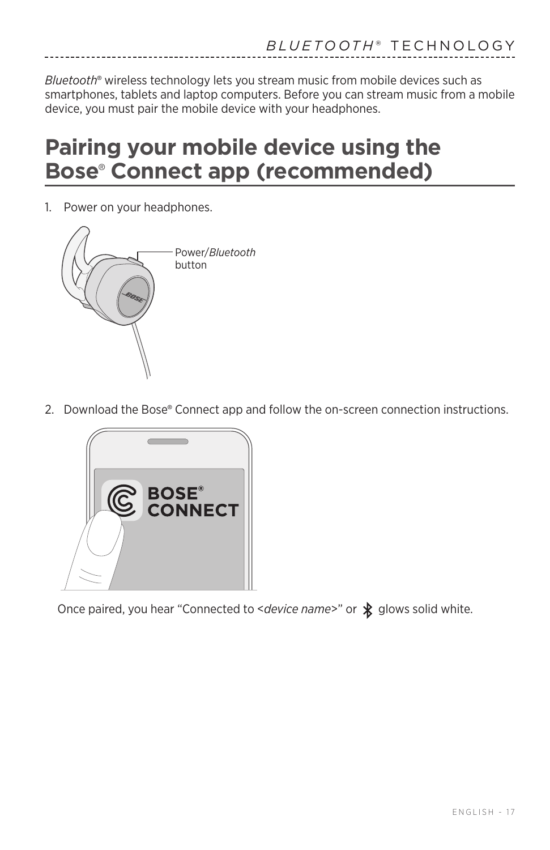<span id="page-16-0"></span>*Bluetooth*® wireless technology lets you stream music from mobile devices such as smartphones, tablets and laptop computers. Before you can stream music from a mobile device, you must pair the mobile device with your headphones.

### <span id="page-16-1"></span>**Pairing your mobile device using the Bose**®  **Connect app (recommended)**

1. Power on your headphones.



2. Download the Bose® Connect app and follow the on-screen connection instructions.



Once paired, you hear "Connected to <*device name>*" or  $\oint$  glows solid white.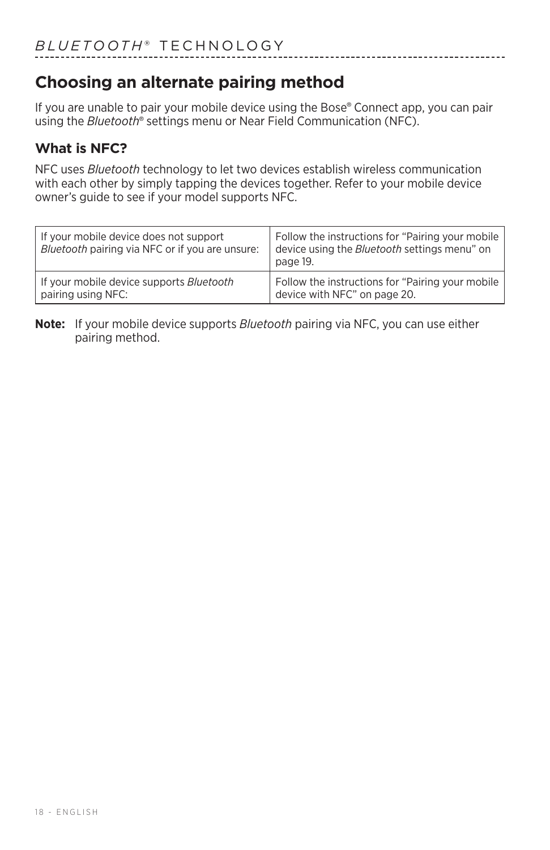### <span id="page-17-0"></span>**Choosing an alternate pairing method**

If you are unable to pair your mobile device using the Bose® Connect app, you can pair using the *Bluetooth*® settings menu or Near Field Communication (NFC).

---------------------------------

#### **What is NFC?**

NFC uses *Bluetooth* technology to let two devices establish wireless communication with each other by simply tapping the devices together. Refer to your mobile device owner's guide to see if your model supports NFC.

| If your mobile device does not support<br>Bluetooth pairing via NFC or if you are unsure: | Follow the instructions for "Pairing your mobile<br>device using the <i>Bluetooth</i> settings menu" on<br>page 19. |
|-------------------------------------------------------------------------------------------|---------------------------------------------------------------------------------------------------------------------|
| If your mobile device supports <i>Bluetooth</i>                                           | Follow the instructions for "Pairing your mobile                                                                    |
| pairing using NFC:                                                                        | device with NFC" on page 20.                                                                                        |

#### **Note:** If your mobile device supports *Bluetooth* pairing via NFC, you can use either pairing method.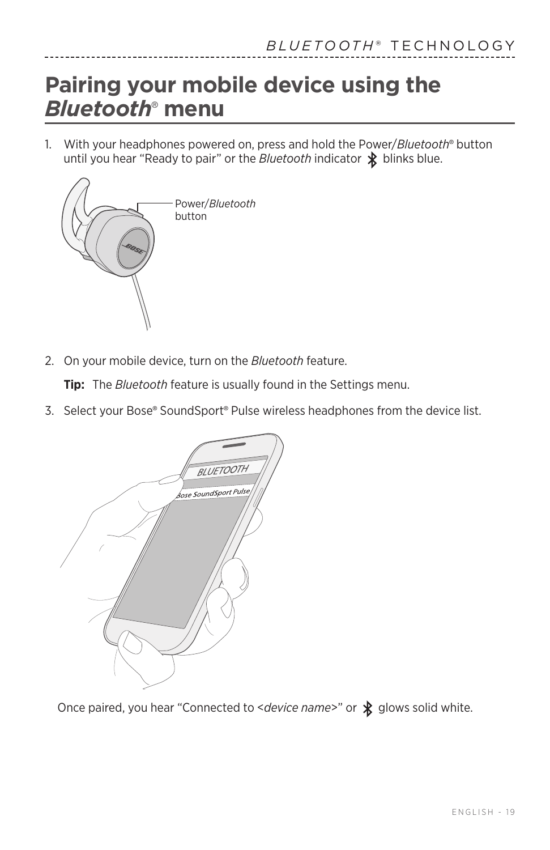## <span id="page-18-1"></span><span id="page-18-0"></span>**Pairing your mobile device using the**  *Bluetooth*®  **menu**

1. With your headphones powered on, press and hold the Power/*Bluetooth*® button until you hear "Ready to pair" or the *Bluetooth* indicator  $\hat{\mathbf{\mathcal{X}}}$  blinks blue.



2. On your mobile device, turn on the *Bluetooth* feature.

**Tip:** The *Bluetooth* feature is usually found in the Settings menu.

3. Select your Bose® SoundSport® Pulse wireless headphones from the device list.



Once paired, you hear "Connected to <*device name>"* or  $\oint$  glows solid white.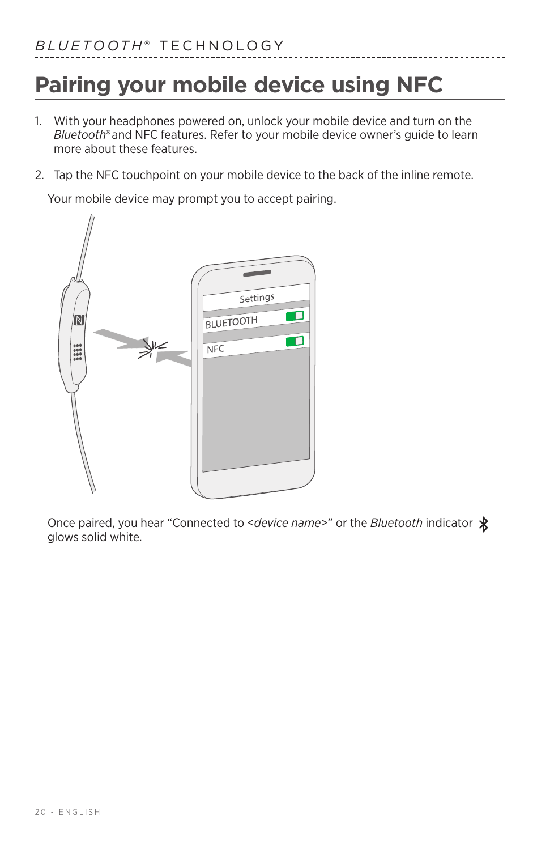## <span id="page-19-1"></span><span id="page-19-0"></span>**Pairing your mobile device using NFC**

- 1. With your headphones powered on, unlock your mobile device and turn on the *Bluetooth*® and NFC features. Refer to your mobile device owner's guide to learn more about these features.
- 2. Tap the NFC touchpoint on your mobile device to the back of the inline remote.

Your mobile device may prompt you to accept pairing.



Once paired, you hear "Connected to <*device name*>" or the *Bluetooth* indicator glows solid white.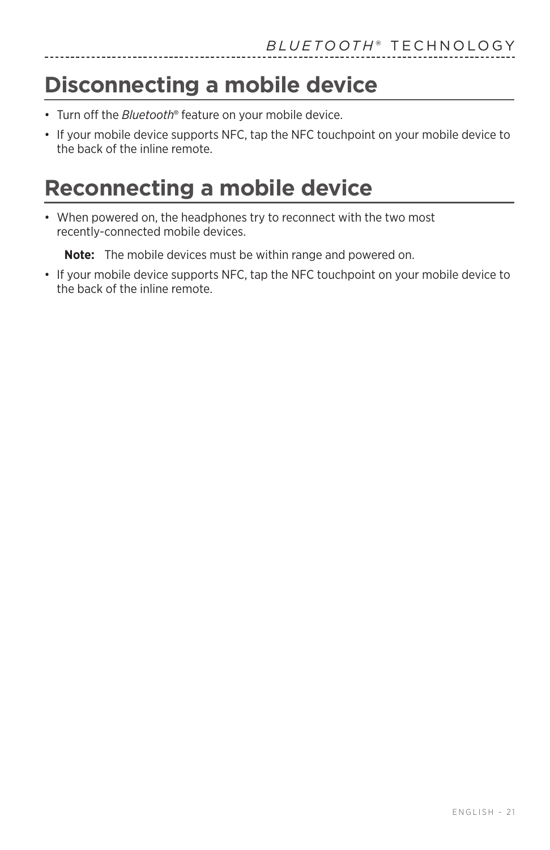## <span id="page-20-0"></span>**Disconnecting a mobile device**

- Turn off the *Bluetooth*® feature on your mobile device.
- If your mobile device supports NFC, tap the NFC touchpoint on your mobile device to the back of the inline remote.

## **Reconnecting a mobile device**

• When powered on, the headphones try to reconnect with the two most recently-connected mobile devices.

**Note:** The mobile devices must be within range and powered on.

• If your mobile device supports NFC, tap the NFC touchpoint on your mobile device to the back of the inline remote.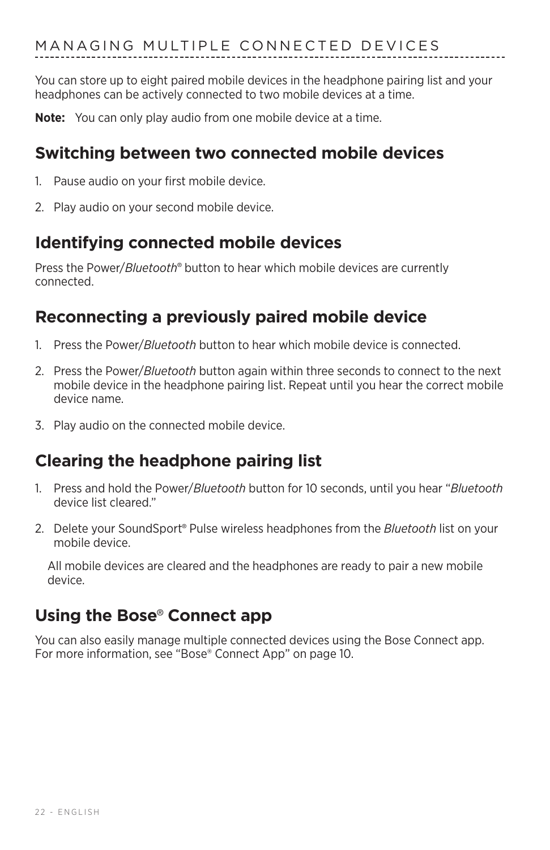<span id="page-21-0"></span>You can store up to eight paired mobile devices in the headphone pairing list and your headphones can be actively connected to two mobile devices at a time.

**Note:** You can only play audio from one mobile device at a time.

### **Switching between two connected mobile devices**

- 1. Pause audio on your first mobile device.
- 2. Play audio on your second mobile device.

### **Identifying connected mobile devices**

Press the Power/Bluetooth<sup>®</sup> button to hear which mobile devices are currently connected.

### **Reconnecting a previously paired mobile device**

- 1. Press the Power/*Bluetooth* button to hear which mobile device is connected.
- 2. Press the Power/*Bluetooth* button again within three seconds to connect to the next mobile device in the headphone pairing list. Repeat until you hear the correct mobile device name.
- 3. Play audio on the connected mobile device.

### **Clearing the headphone pairing list**

- 1. Press and hold the Power/*Bluetooth* button for 10 seconds, until you hear "*Bluetooth* device list cleared."
- 2. Delete your SoundSport® Pulse wireless headphones from the *Bluetooth* list on your mobile device.

All mobile devices are cleared and the headphones are ready to pair a new mobile device.

### **Using the Bose**® **Connect app**

You can also easily manage multiple connected devices using the Bose Connect app. For more information, see ["Bose® Connect App" on page 10.](#page-9-1)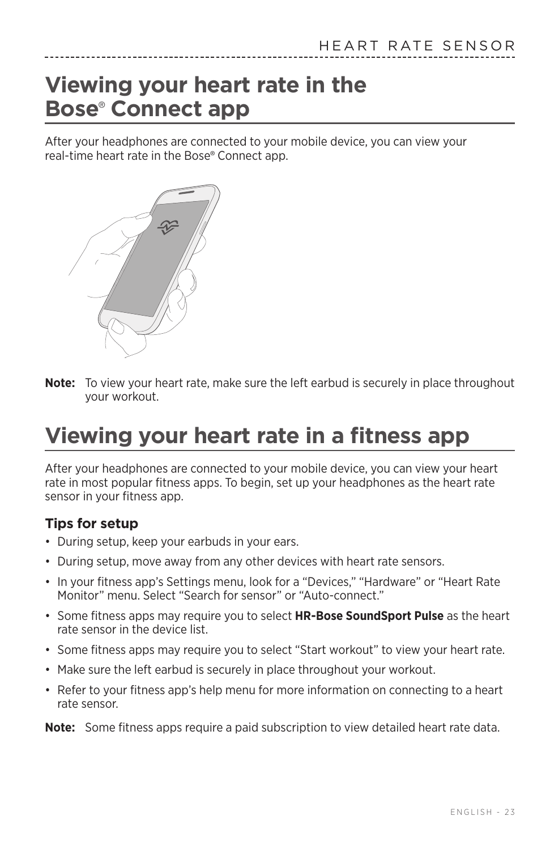## <span id="page-22-1"></span><span id="page-22-0"></span>**Viewing your heart rate in the Bose**®  **Connect app**

After your headphones are connected to your mobile device, you can view your real-time heart rate in the Bose® Connect app.



**Note:** To view your heart rate, make sure the left earbud is securely in place throughout your workout.

## **Viewing your heart rate in a fitness app**

After your headphones are connected to your mobile device, you can view your heart rate in most popular fitness apps. To begin, set up your headphones as the heart rate sensor in your fitness app.

#### **Tips for setup**

- During setup, keep your earbuds in your ears.
- During setup, move away from any other devices with heart rate sensors.
- In your fitness app's Settings menu, look for a "Devices," "Hardware" or "Heart Rate Monitor" menu. Select "Search for sensor" or "Auto-connect."
- Some fitness apps may require you to select **HR-Bose SoundSport Pulse** as the heart rate sensor in the device list.
- Some fitness apps may require you to select "Start workout" to view your heart rate.
- Make sure the left earbud is securely in place throughout your workout.
- Refer to your fitness app's help menu for more information on connecting to a heart rate sensor.

**Note:** Some fitness apps require a paid subscription to view detailed heart rate data.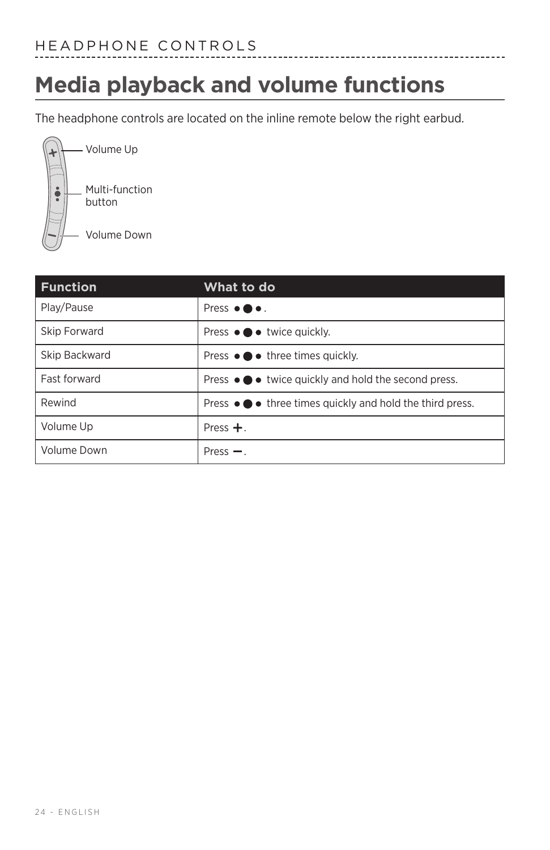## <span id="page-23-0"></span>**Media playback and volume functions**

The headphone controls are located on the inline remote below the right earbud.



| <b>Function</b> | What to do                                                                    |
|-----------------|-------------------------------------------------------------------------------|
| Play/Pause      | Press $\bullet \bullet \bullet$ .                                             |
| Skip Forward    | Press $\bullet \bullet \bullet$ twice quickly.                                |
| Skip Backward   | Press $\bullet \bullet \bullet$ three times quickly.                          |
| Fast forward    | Press ● ● twice quickly and hold the second press.                            |
| Rewind          | Press $\bullet \bullet \bullet$ three times quickly and hold the third press. |
| Volume Up       | Press $+$ .                                                                   |
| Volume Down     | Press $-$ .                                                                   |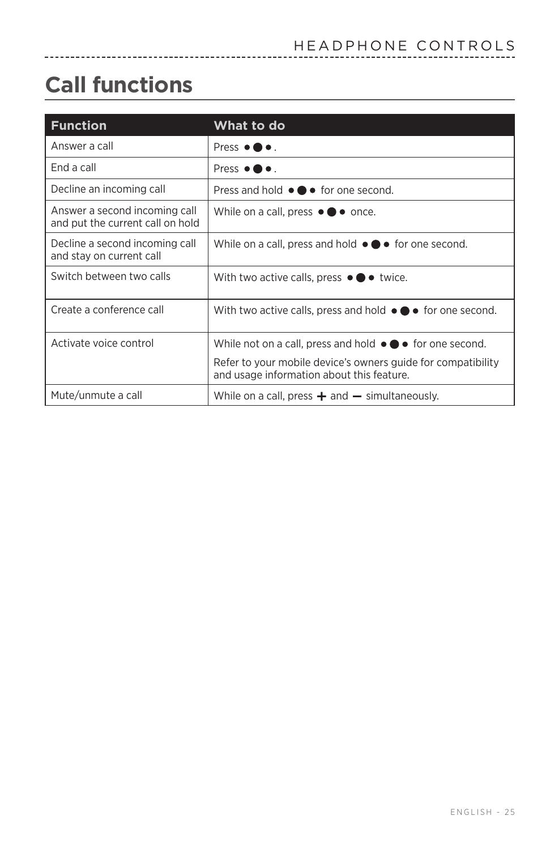## <span id="page-24-0"></span>**Call functions**

| <b>Function</b>                                                   | What to do                                                                                                |  |
|-------------------------------------------------------------------|-----------------------------------------------------------------------------------------------------------|--|
| Answer a call                                                     | Press $\bullet \bullet \bullet$ .                                                                         |  |
| End a call                                                        | Press $\bullet \bullet$ .                                                                                 |  |
| Decline an incoming call                                          | Press and hold $\bullet \bullet \bullet$ for one second.                                                  |  |
| Answer a second incoming call<br>and put the current call on hold | While on a call, press $\bullet \bullet \bullet$ once.                                                    |  |
| Decline a second incoming call<br>and stay on current call        | While on a call, press and hold $\bullet \bullet \bullet$ for one second.                                 |  |
| Switch between two calls                                          | With two active calls, press $\bullet \bullet \bullet$ twice.                                             |  |
| Create a conference call                                          | With two active calls, press and hold $\bullet \bullet \bullet$ for one second.                           |  |
| Activate voice control                                            | While not on a call, press and hold $\bullet \bullet \bullet$ for one second.                             |  |
|                                                                   | Refer to your mobile device's owners guide for compatibility<br>and usage information about this feature. |  |
| Mute/unmute a call                                                | While on a call, press $+$ and $-$ simultaneously.                                                        |  |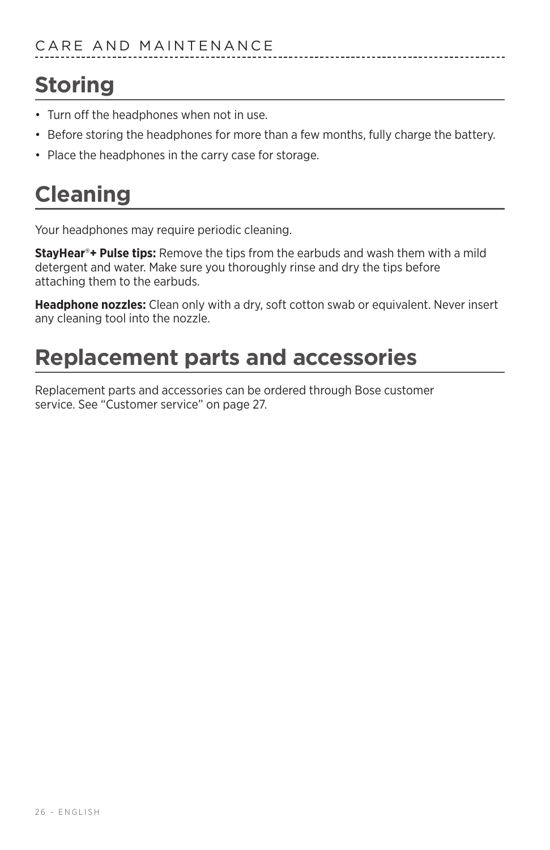## <span id="page-25-0"></span>**Storing**

- Turn off the headphones when not in use.
- Before storing the headphones for more than a few months, fully charge the battery.
- Place the headphones in the carry case for storage.

## **Cleaning**

Your headphones may require periodic cleaning.

**StayHear**®**+ Pulse tips:** Remove the tips from the earbuds and wash them with a mild detergent and water. Make sure you thoroughly rinse and dry the tips before attaching them to the earbuds.

**Headphone nozzles:** Clean only with a dry, soft cotton swab or equivalent. Never insert any cleaning tool into the nozzle.

## **Replacement parts and accessories**

Replacement parts and accessories can be ordered through Bose customer service. See ["Customer service" on page 27](#page-26-1).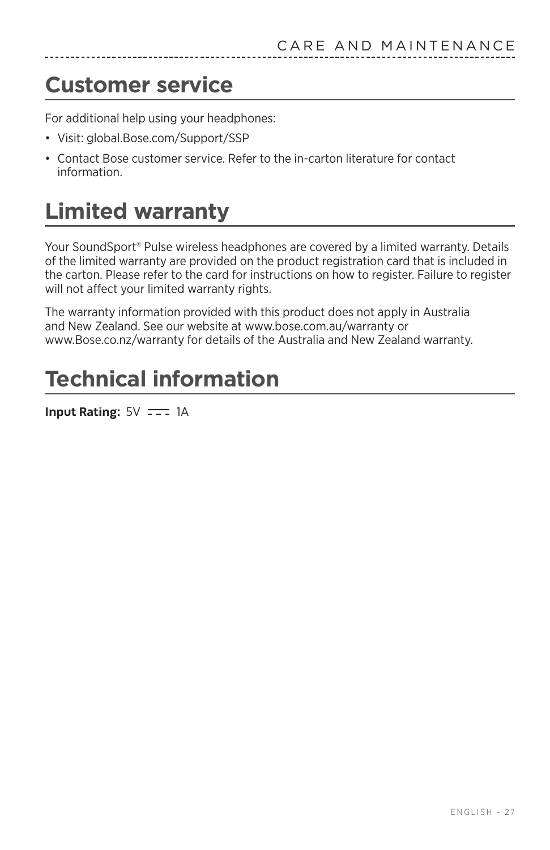## <span id="page-26-1"></span><span id="page-26-0"></span>**Customer service**

For additional help using your headphones:

- Visit: global.Bose.com/Support/SSP
- Contact Bose customer service. Refer to the in-carton literature for contact information.

## **Limited warranty**

Your SoundSport® Pulse wireless headphones are covered by a limited warranty. Details of the limited warranty are provided on the product registration card that is included in the carton. Please refer to the card for instructions on how to register. Failure to register will not affect your limited warranty rights.

The warranty information provided with this product does not apply in Australia and New Zealand. See our website at www.bose.com.au/warranty or www.Bose.co.nz/warranty for details of the Australia and New Zealand warranty.

## **Technical information**

**Input Rating:**  $5V = -1$  1A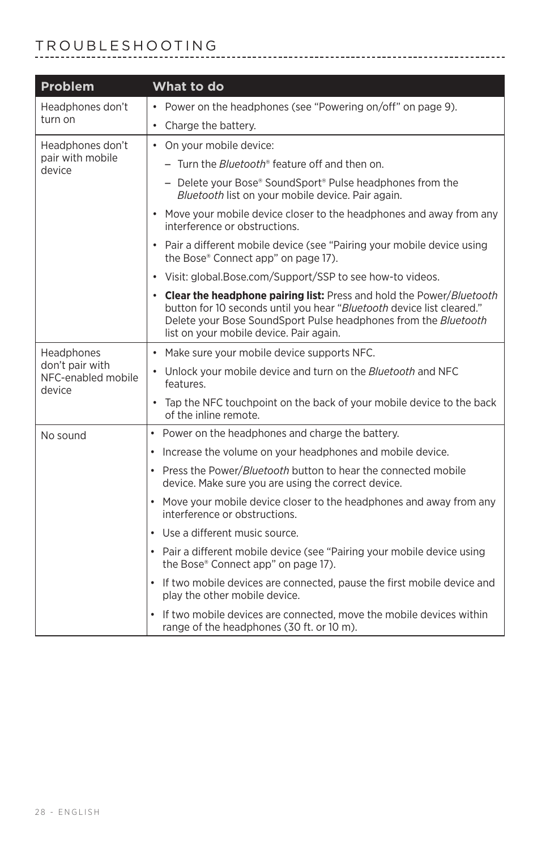#### <span id="page-27-0"></span>TROUBLESHOOTING

| Problem                                         | What to do                                                                                                                                                                                                                                                    |
|-------------------------------------------------|---------------------------------------------------------------------------------------------------------------------------------------------------------------------------------------------------------------------------------------------------------------|
| Headphones don't<br>turn on                     | • Power on the headphones (see "Powering on/off" on page 9).                                                                                                                                                                                                  |
|                                                 | • Charge the battery.                                                                                                                                                                                                                                         |
| Headphones don't                                | • On your mobile device:                                                                                                                                                                                                                                      |
| pair with mobile<br>device                      | - Turn the <i>Bluetooth</i> ® feature off and then on.                                                                                                                                                                                                        |
|                                                 | - Delete your Bose® SoundSport® Pulse headphones from the<br>Bluetooth list on your mobile device. Pair again.                                                                                                                                                |
|                                                 | Move your mobile device closer to the headphones and away from any<br>interference or obstructions.                                                                                                                                                           |
|                                                 | • Pair a different mobile device (see "Pairing your mobile device using<br>the Bose® Connect app" on page 17).                                                                                                                                                |
|                                                 | • Visit: global.Bose.com/Support/SSP to see how-to videos.                                                                                                                                                                                                    |
|                                                 | • Clear the headphone pairing list: Press and hold the Power/Bluetooth<br>button for 10 seconds until you hear "Bluetooth device list cleared."<br>Delete your Bose SoundSport Pulse headphones from the Bluetooth<br>list on your mobile device. Pair again. |
| Headphones                                      | • Make sure your mobile device supports NFC.                                                                                                                                                                                                                  |
| don't pair with<br>NFC-enabled mobile<br>device | • Unlock your mobile device and turn on the Bluetooth and NFC<br>features.                                                                                                                                                                                    |
|                                                 | • Tap the NFC touchpoint on the back of your mobile device to the back<br>of the inline remote.                                                                                                                                                               |
| No sound                                        | Power on the headphones and charge the battery.                                                                                                                                                                                                               |
|                                                 | Increase the volume on your headphones and mobile device.                                                                                                                                                                                                     |
|                                                 | Press the Power/Bluetooth button to hear the connected mobile<br>device. Make sure you are using the correct device.                                                                                                                                          |
|                                                 | Move your mobile device closer to the headphones and away from any<br>$\bullet$<br>interference or obstructions.                                                                                                                                              |
|                                                 | Use a different music source.<br>$\bullet$                                                                                                                                                                                                                    |
|                                                 | • Pair a different mobile device (see "Pairing your mobile device using<br>the Bose® Connect app" on page 17).                                                                                                                                                |
|                                                 | If two mobile devices are connected, pause the first mobile device and<br>play the other mobile device.                                                                                                                                                       |
|                                                 | If two mobile devices are connected, move the mobile devices within<br>range of the headphones (30 ft. or 10 m).                                                                                                                                              |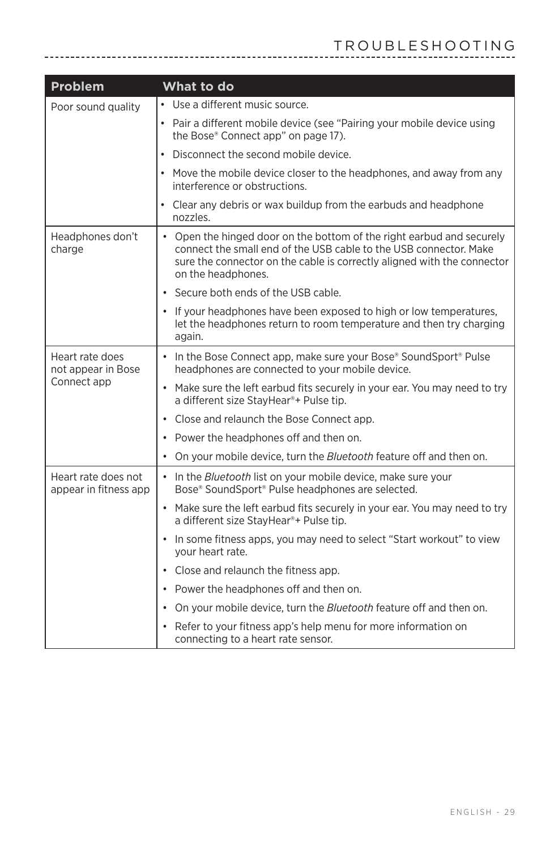| <b>Problem</b>                                       | What to do                                                                                                                                                                                                                                  |
|------------------------------------------------------|---------------------------------------------------------------------------------------------------------------------------------------------------------------------------------------------------------------------------------------------|
| Poor sound quality                                   | • Use a different music source.                                                                                                                                                                                                             |
|                                                      | • Pair a different mobile device (see "Pairing your mobile device using<br>the Bose® Connect app" on page 17).                                                                                                                              |
|                                                      | Disconnect the second mobile device.<br>$\bullet$                                                                                                                                                                                           |
|                                                      | Move the mobile device closer to the headphones, and away from any<br>interference or obstructions.                                                                                                                                         |
|                                                      | Clear any debris or wax buildup from the earbuds and headphone<br>nozzles.                                                                                                                                                                  |
| Headphones don't<br>charge                           | • Open the hinged door on the bottom of the right earbud and securely<br>connect the small end of the USB cable to the USB connector. Make<br>sure the connector on the cable is correctly aligned with the connector<br>on the headphones. |
|                                                      | • Secure both ends of the USB cable.                                                                                                                                                                                                        |
|                                                      | • If your headphones have been exposed to high or low temperatures,<br>let the headphones return to room temperature and then try charging<br>again.                                                                                        |
| Heart rate does<br>not appear in Bose<br>Connect app | • In the Bose Connect app, make sure your Bose® SoundSport® Pulse<br>headphones are connected to your mobile device.                                                                                                                        |
|                                                      | • Make sure the left earbud fits securely in your ear. You may need to try<br>a different size StayHear®+ Pulse tip.                                                                                                                        |
|                                                      | • Close and relaunch the Bose Connect app.                                                                                                                                                                                                  |
|                                                      | • Power the headphones off and then on.                                                                                                                                                                                                     |
|                                                      | • On your mobile device, turn the <i>Bluetooth</i> feature off and then on.                                                                                                                                                                 |
| Heart rate does not<br>appear in fitness app         | • In the Bluetooth list on your mobile device, make sure your<br>Bose® SoundSport® Pulse headphones are selected.                                                                                                                           |
|                                                      | • Make sure the left earbud fits securely in your ear. You may need to try<br>a different size StayHear®+ Pulse tip.                                                                                                                        |
|                                                      | • In some fitness apps, you may need to select "Start workout" to view<br>your heart rate.                                                                                                                                                  |
|                                                      | • Close and relaunch the fitness app.                                                                                                                                                                                                       |
|                                                      | • Power the headphones off and then on.                                                                                                                                                                                                     |
|                                                      | • On your mobile device, turn the Bluetooth feature off and then on.                                                                                                                                                                        |
|                                                      | • Refer to your fitness app's help menu for more information on<br>connecting to a heart rate sensor.                                                                                                                                       |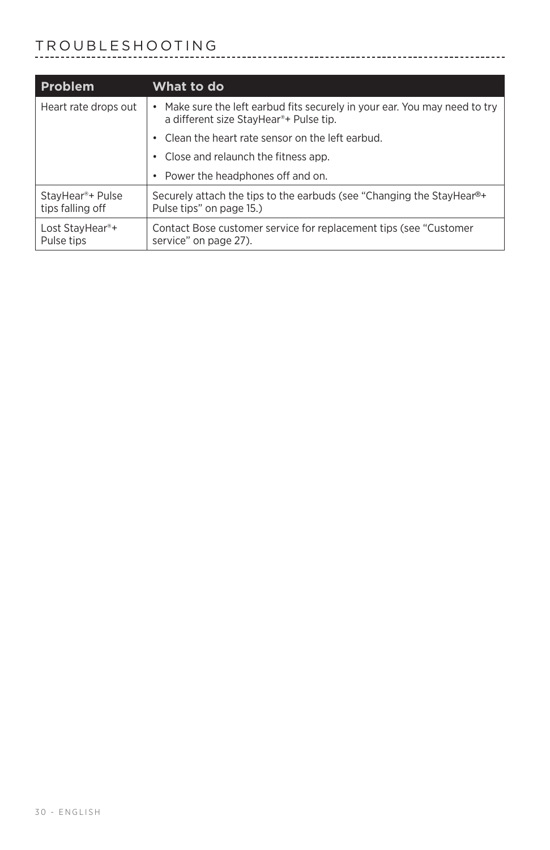# TROUBLESHOOTING

| Problem                                          | What to do                                                                                                                     |
|--------------------------------------------------|--------------------------------------------------------------------------------------------------------------------------------|
| Heart rate drops out                             | Make sure the left earbud fits securely in your ear. You may need to try<br>a different size StayHear <sup>®+</sup> Pulse tip. |
|                                                  | Clean the heart rate sensor on the left earbud.                                                                                |
|                                                  | Close and relaunch the fitness app.                                                                                            |
|                                                  | • Power the headphones off and on.                                                                                             |
| StayHear <sup>®+</sup> Pulse<br>tips falling off | Securely attach the tips to the earbuds (see "Changing the StayHear <sup>®+</sup><br>Pulse tips" on page 15.)                  |
| Lost StayHear <sup>®+</sup><br>Pulse tips        | Contact Bose customer service for replacement tips (see "Customer"<br>service" on page 27).                                    |